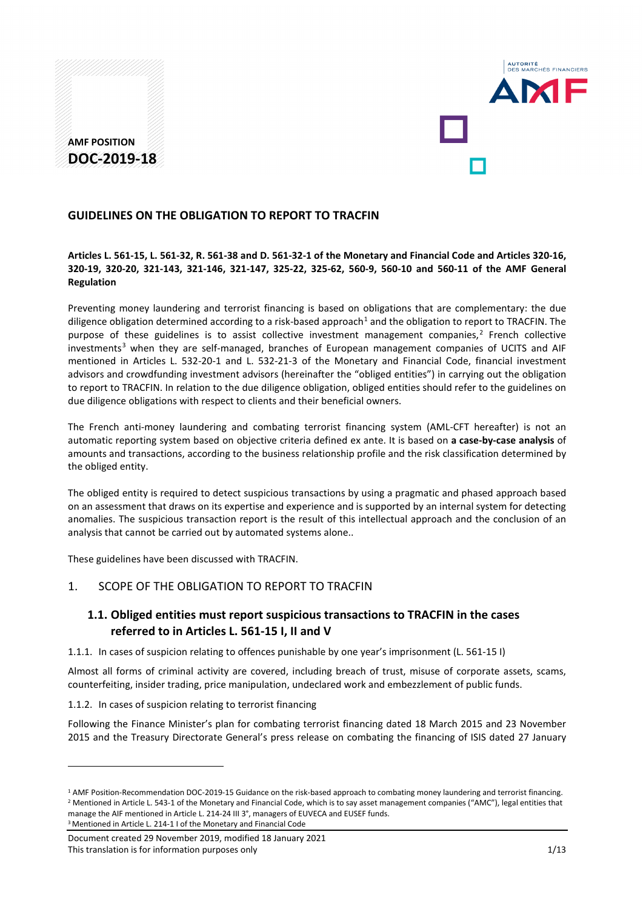# **AMF POSITION DOC-2019-18**



## **GUIDELINES ON THE OBLIGATION TO REPORT TO TRACFIN**

### **Articles L. 561-15, L. 561-32, R. 561-38 and D. 561-32-1 of the Monetary and Financial Code and Articles 320-16, 320-19, 320-20, 321-143, 321-146, 321-147, 325-22, 325-62, 560-9, 560-10 and 560-11 of the AMF General Regulation**

Preventing money laundering and terrorist financing is based on obligations that are complementary: the due diligence obligation determined according to a risk-based approach<sup>[1](#page-0-0)</sup> and the obligation to report to TRACFIN. The purpose of these guidelines is to assist collective investment management companies, $<sup>2</sup>$  $<sup>2</sup>$  $<sup>2</sup>$  French collective</sup> investments<sup>[3](#page-0-2)</sup> when they are self-managed, branches of European management companies of UCITS and AIF mentioned in Articles L. 532-20-1 and L. 532-21-3 of the Monetary and Financial Code, financial investment advisors and crowdfunding investment advisors (hereinafter the "obliged entities") in carrying out the obligation to report to TRACFIN. In relation to the due diligence obligation, obliged entities should refer to the guidelines on due diligence obligations with respect to clients and their beneficial owners.

The French anti-money laundering and combating terrorist financing system (AML-CFT hereafter) is not an automatic reporting system based on objective criteria defined ex ante. It is based on **a case-by-case analysis** of amounts and transactions, according to the business relationship profile and the risk classification determined by the obliged entity.

The obliged entity is required to detect suspicious transactions by using a pragmatic and phased approach based on an assessment that draws on its expertise and experience and is supported by an internal system for detecting anomalies. The suspicious transaction report is the result of this intellectual approach and the conclusion of an analysis that cannot be carried out by automated systems alone..

These guidelines have been discussed with TRACFIN.

## 1. SCOPE OF THE OBLIGATION TO REPORT TO TRACFIN

## **1.1. Obliged entities must report suspicious transactions to TRACFIN in the cases referred to in Articles L. 561-15 I, II and V**

1.1.1. In cases of suspicion relating to offences punishable by one year's imprisonment (L. 561-15 I)

Almost all forms of criminal activity are covered, including breach of trust, misuse of corporate assets, scams, counterfeiting, insider trading, price manipulation, undeclared work and embezzlement of public funds.

1.1.2. In cases of suspicion relating to terrorist financing

<u>.</u>

Following the Finance Minister's plan for combating terrorist financing dated 18 March 2015 and 23 November 2015 and the Treasury Directorate General's press release on combating the financing of ISIS dated 27 January

<span id="page-0-1"></span><span id="page-0-0"></span><sup>1</sup> AMF Position-Recommendation DOC-2019-15 Guidance on the risk-based approach to combating money laundering and terrorist financing. <sup>2</sup> Mentioned in Article L. 543-1 of the Monetary and Financial Code, which is to say asset management companies ("AMC"), legal entities that manage the AIF mentioned in Article L. 214-24 III 3°, managers of EUVECA and EUSEF funds. <sup>3</sup> Mentioned in Article L. 214-1 I of the Monetary and Financial Code

<span id="page-0-2"></span>Document created 29 November 2019, modified 18 January 2021 This translation is for information purposes only 1/13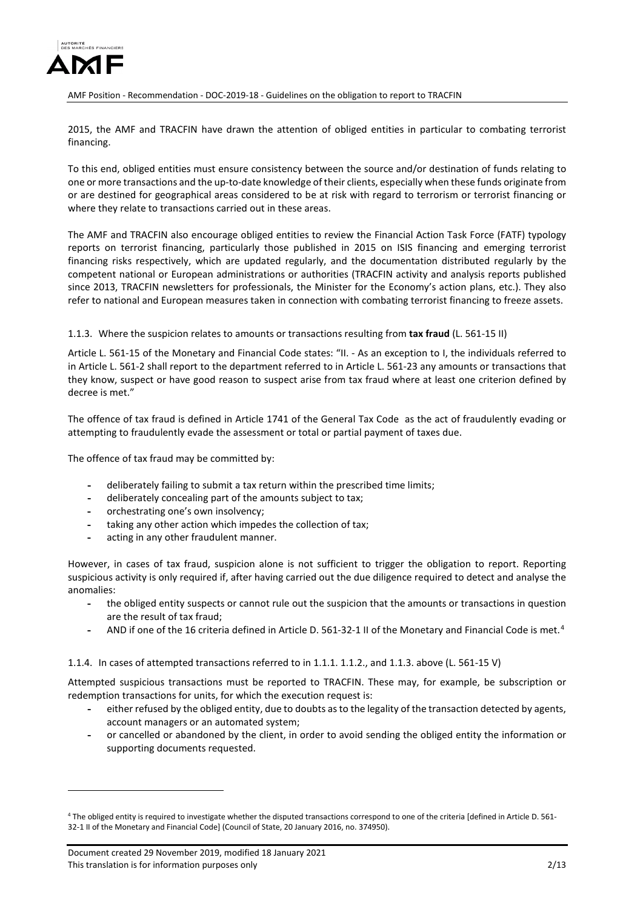

2015, the AMF and TRACFIN have drawn the attention of obliged entities in particular to combating terrorist financing.

To this end, obliged entities must ensure consistency between the source and/or destination of funds relating to one or more transactions and the up-to-date knowledge of their clients, especially when these funds originate from or are destined for geographical areas considered to be at risk with regard to terrorism or terrorist financing or where they relate to transactions carried out in these areas.

The AMF and TRACFIN also encourage obliged entities to review the Financial Action Task Force (FATF) typology reports on terrorist financing, particularly those published in 2015 on ISIS financing and emerging terrorist financing risks respectively, which are updated regularly, and the documentation distributed regularly by the competent national or European administrations or authorities (TRACFIN activity and analysis reports published since 2013, TRACFIN newsletters for professionals, the Minister for the Economy's action plans, etc.). They also refer to national and European measures taken in connection with combating terrorist financing to freeze assets.

#### 1.1.3. Where the suspicion relates to amounts or transactions resulting from **tax fraud** (L. 561-15 II)

Article L. 561-15 of the Monetary and Financial Code states: "II. - As an exception to I, the individuals referred to in Article L. 561-2 shall report to the department referred to in Article L. 561-23 any amounts or transactions that they know, suspect or have good reason to suspect arise from tax fraud where at least one criterion defined by decree is met."

The offence of tax fraud is defined in Article 1741 of the General Tax Code as the act of fraudulently evading or attempting to fraudulently evade the assessment or total or partial payment of taxes due.

The offence of tax fraud may be committed by:

- **-** deliberately failing to submit a tax return within the prescribed time limits;
- **-** deliberately concealing part of the amounts subject to tax;
- **-** orchestrating one's own insolvency;
- **-** taking any other action which impedes the collection of tax;
- **-** acting in any other fraudulent manner.

However, in cases of tax fraud, suspicion alone is not sufficient to trigger the obligation to report. Reporting suspicious activity is only required if, after having carried out the due diligence required to detect and analyse the anomalies:

- **-** the obliged entity suspects or cannot rule out the suspicion that the amounts or transactions in question are the result of tax fraud;
- **-** AND if one of the 16 criteria defined in Article D. 561-32-1 II of the Monetary and Financial Code is met.[4](#page-1-0)

#### 1.1.4. In cases of attempted transactions referred to in 1.1.1. 1.1.2., and 1.1.3. above (L. 561-15 V)

Attempted suspicious transactions must be reported to TRACFIN. These may, for example, be subscription or redemption transactions for units, for which the execution request is:

- **-** either refused by the obliged entity, due to doubts as to the legality of the transaction detected by agents, account managers or an automated system;
- **-** or cancelled or abandoned by the client, in order to avoid sending the obliged entity the information or supporting documents requested.

<u>.</u>

<span id="page-1-0"></span><sup>4</sup> The obliged entity is required to investigate whether the disputed transactions correspond to one of the criteria [defined in Article D. 561- 32-1 II of the Monetary and Financial Code] (Council of State, 20 January 2016, no. 374950).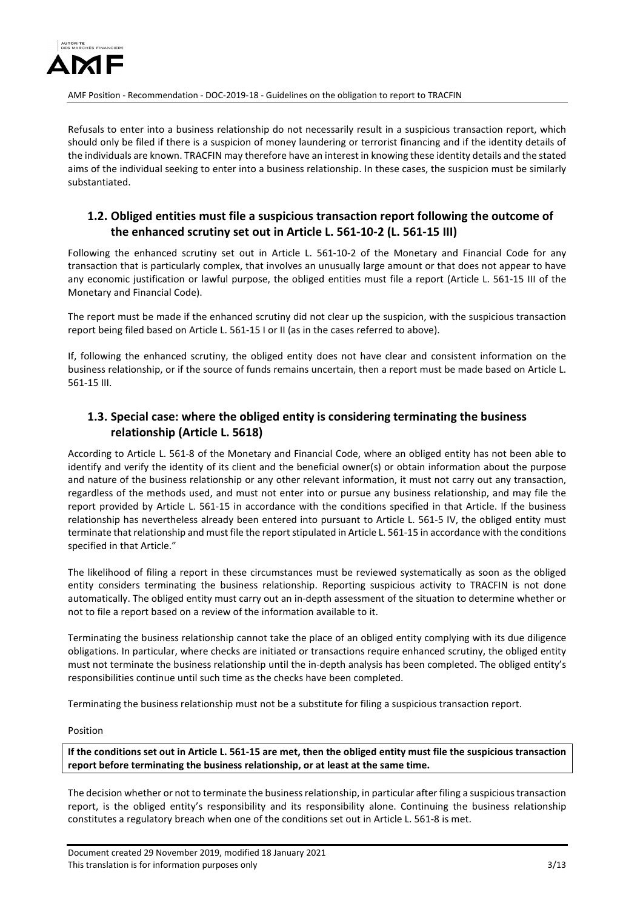

Refusals to enter into a business relationship do not necessarily result in a suspicious transaction report, which should only be filed if there is a suspicion of money laundering or terrorist financing and if the identity details of the individuals are known. TRACFIN may therefore have an interest in knowing these identity details and the stated aims of the individual seeking to enter into a business relationship. In these cases, the suspicion must be similarly substantiated.

## **1.2. Obliged entities must file a suspicious transaction report following the outcome of the enhanced scrutiny set out in Article L. 561-10-2 (L. 561-15 III)**

Following the enhanced scrutiny set out in Article L. 561-10-2 of the Monetary and Financial Code for any transaction that is particularly complex, that involves an unusually large amount or that does not appear to have any economic justification or lawful purpose, the obliged entities must file a report (Article L. 561-15 III of the Monetary and Financial Code).

The report must be made if the enhanced scrutiny did not clear up the suspicion, with the suspicious transaction report being filed based on Article L. 561-15 I or II (as in the cases referred to above).

If, following the enhanced scrutiny, the obliged entity does not have clear and consistent information on the business relationship, or if the source of funds remains uncertain, then a report must be made based on Article L. 561-15 III.

## **1.3. Special case: where the obliged entity is considering terminating the business relationship (Article L. 5618)**

According to Article L. 561-8 of the Monetary and Financial Code, where an obliged entity has not been able to identify and verify the identity of its client and the beneficial owner(s) or obtain information about the purpose and nature of the business relationship or any other relevant information, it must not carry out any transaction, regardless of the methods used, and must not enter into or pursue any business relationship, and may file the report provided by Article L. 561-15 in accordance with the conditions specified in that Article. If the business relationship has nevertheless already been entered into pursuant to Article L. 561-5 IV, the obliged entity must terminate that relationship and must file the report stipulated in Article L. 561-15 in accordance with the conditions specified in that Article."

The likelihood of filing a report in these circumstances must be reviewed systematically as soon as the obliged entity considers terminating the business relationship. Reporting suspicious activity to TRACFIN is not done automatically. The obliged entity must carry out an in-depth assessment of the situation to determine whether or not to file a report based on a review of the information available to it.

Terminating the business relationship cannot take the place of an obliged entity complying with its due diligence obligations. In particular, where checks are initiated or transactions require enhanced scrutiny, the obliged entity must not terminate the business relationship until the in-depth analysis has been completed. The obliged entity's responsibilities continue until such time as the checks have been completed.

Terminating the business relationship must not be a substitute for filing a suspicious transaction report.

Position

**If the conditions set out in Article L. 561-15 are met, then the obliged entity must file the suspicious transaction report before terminating the business relationship, or at least at the same time.** 

The decision whether or not to terminate the business relationship, in particular after filing a suspicious transaction report, is the obliged entity's responsibility and its responsibility alone. Continuing the business relationship constitutes a regulatory breach when one of the conditions set out in Article L. 561-8 is met.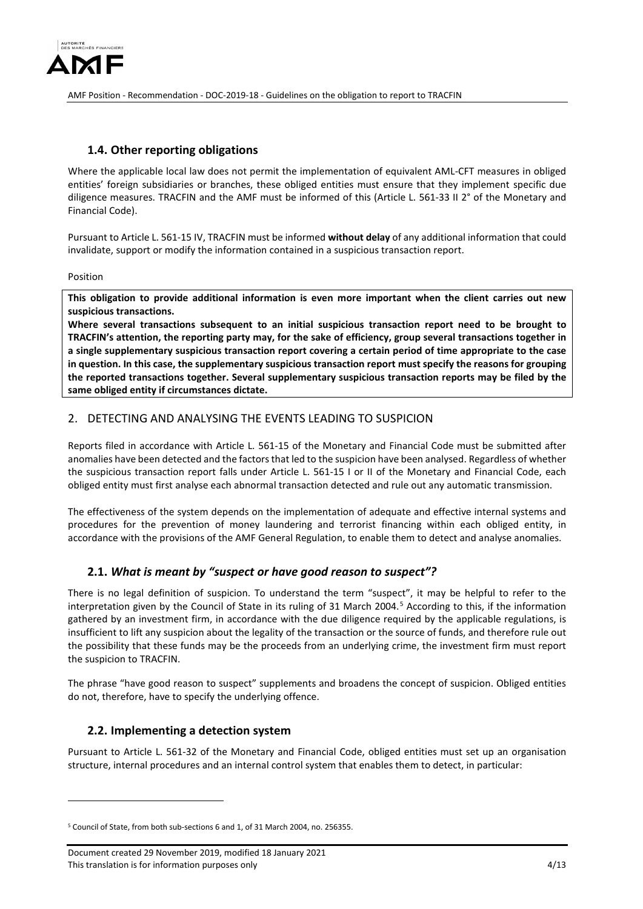

## **1.4. Other reporting obligations**

Where the applicable local law does not permit the implementation of equivalent AML-CFT measures in obliged entities' foreign subsidiaries or branches, these obliged entities must ensure that they implement specific due diligence measures. TRACFIN and the AMF must be informed of this (Article L. 561-33 II 2° of the Monetary and Financial Code).

Pursuant to Article L. 561-15 IV, TRACFIN must be informed **without delay** of any additional information that could invalidate, support or modify the information contained in a suspicious transaction report.

Position

<u>.</u>

**This obligation to provide additional information is even more important when the client carries out new suspicious transactions.** 

**Where several transactions subsequent to an initial suspicious transaction report need to be brought to TRACFIN's attention, the reporting party may, for the sake of efficiency, group several transactions together in a single supplementary suspicious transaction report covering a certain period of time appropriate to the case in question. In this case, the supplementary suspicious transaction report must specify the reasons for grouping the reported transactions together. Several supplementary suspicious transaction reports may be filed by the same obliged entity if circumstances dictate.**

### 2. DETECTING AND ANALYSING THE EVENTS LEADING TO SUSPICION

Reports filed in accordance with Article L. 561-15 of the Monetary and Financial Code must be submitted after anomalies have been detected and the factors that led to the suspicion have been analysed. Regardless of whether the suspicious transaction report falls under Article L. 561-15 I or II of the Monetary and Financial Code, each obliged entity must first analyse each abnormal transaction detected and rule out any automatic transmission.

The effectiveness of the system depends on the implementation of adequate and effective internal systems and procedures for the prevention of money laundering and terrorist financing within each obliged entity, in accordance with the provisions of the AMF General Regulation, to enable them to detect and analyse anomalies.

## **2.1.** *What is meant by "suspect or have good reason to suspect"?*

There is no legal definition of suspicion. To understand the term "suspect", it may be helpful to refer to the interpretation given by the Council of State in its ruling of 31 March 2004.<sup>[5](#page-3-0)</sup> According to this, if the information gathered by an investment firm, in accordance with the due diligence required by the applicable regulations, is insufficient to lift any suspicion about the legality of the transaction or the source of funds, and therefore rule out the possibility that these funds may be the proceeds from an underlying crime, the investment firm must report the suspicion to TRACFIN.

The phrase "have good reason to suspect" supplements and broadens the concept of suspicion. Obliged entities do not, therefore, have to specify the underlying offence.

### **2.2. Implementing a detection system**

Pursuant to Article L. 561-32 of the Monetary and Financial Code, obliged entities must set up an organisation structure, internal procedures and an internal control system that enables them to detect, in particular:

<span id="page-3-0"></span> $5$  Council of State, from both sub-sections 6 and 1, of 31 March 2004, no. 256355.

Document created 29 November 2019, modified 18 January 2021 This translation is for information purposes only the state of the state of the state of the 4/13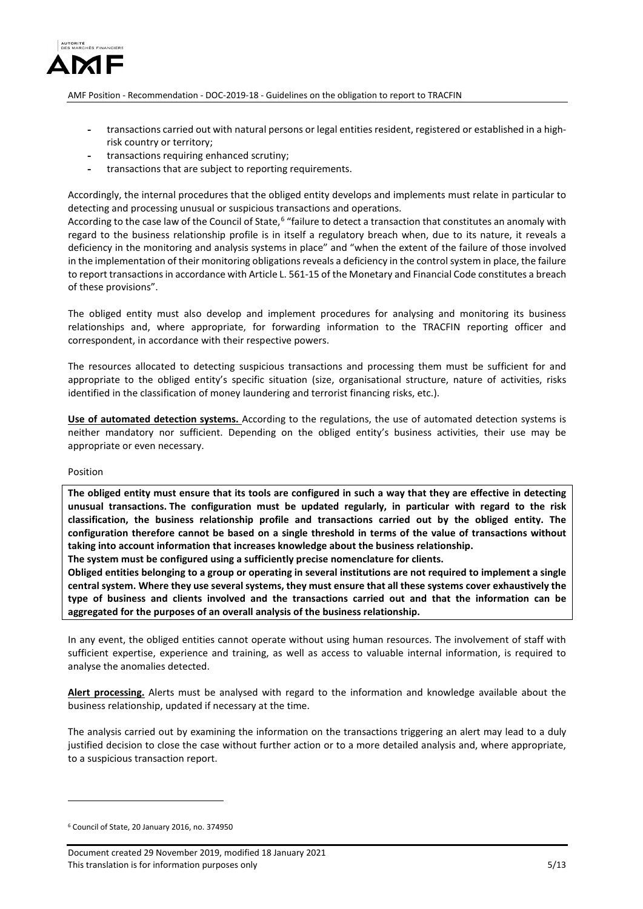

- **-** transactions carried out with natural persons or legal entities resident, registered or established in a highrisk country or territory;
- **-** transactions requiring enhanced scrutiny;
- **-** transactions that are subject to reporting requirements.

Accordingly, the internal procedures that the obliged entity develops and implements must relate in particular to detecting and processing unusual or suspicious transactions and operations.

According to the case law of the Council of State,<sup>[6](#page-4-0)</sup> "failure to detect a transaction that constitutes an anomaly with regard to the business relationship profile is in itself a regulatory breach when, due to its nature, it reveals a deficiency in the monitoring and analysis systems in place" and "when the extent of the failure of those involved in the implementation of their monitoring obligations reveals a deficiency in the control system in place, the failure to report transactions in accordance with Article L. 561-15 of the Monetary and Financial Code constitutes a breach of these provisions".

The obliged entity must also develop and implement procedures for analysing and monitoring its business relationships and, where appropriate, for forwarding information to the TRACFIN reporting officer and correspondent, in accordance with their respective powers.

The resources allocated to detecting suspicious transactions and processing them must be sufficient for and appropriate to the obliged entity's specific situation (size, organisational structure, nature of activities, risks identified in the classification of money laundering and terrorist financing risks, etc.).

**Use of automated detection systems.** According to the regulations, the use of automated detection systems is neither mandatory nor sufficient. Depending on the obliged entity's business activities, their use may be appropriate or even necessary.

#### Position

<u>.</u>

**The obliged entity must ensure that its tools are configured in such a way that they are effective in detecting unusual transactions. The configuration must be updated regularly, in particular with regard to the risk classification, the business relationship profile and transactions carried out by the obliged entity. The configuration therefore cannot be based on a single threshold in terms of the value of transactions without taking into account information that increases knowledge about the business relationship.**

**The system must be configured using a sufficiently precise nomenclature for clients.** 

**Obliged entities belonging to a group or operating in several institutions are not required to implement a single central system. Where they use several systems, they must ensure that all these systems cover exhaustively the type of business and clients involved and the transactions carried out and that the information can be aggregated for the purposes of an overall analysis of the business relationship.** 

In any event, the obliged entities cannot operate without using human resources. The involvement of staff with sufficient expertise, experience and training, as well as access to valuable internal information, is required to analyse the anomalies detected.

**Alert processing.** Alerts must be analysed with regard to the information and knowledge available about the business relationship, updated if necessary at the time.

The analysis carried out by examining the information on the transactions triggering an alert may lead to a duly justified decision to close the case without further action or to a more detailed analysis and, where appropriate, to a suspicious transaction report.

<span id="page-4-0"></span><sup>6</sup> Council of State, 20 January 2016, no. 374950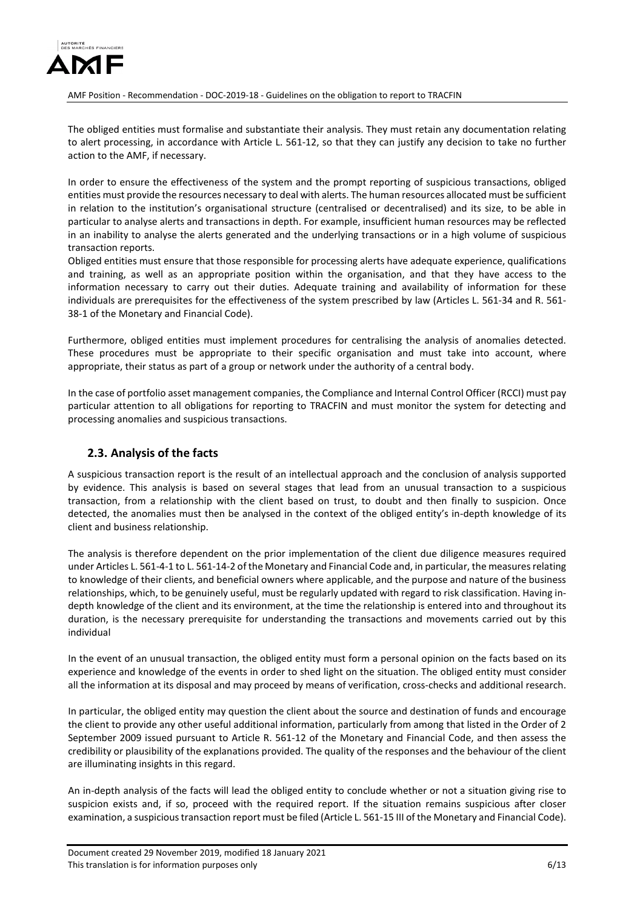

The obliged entities must formalise and substantiate their analysis. They must retain any documentation relating to alert processing, in accordance with Article L. 561-12, so that they can justify any decision to take no further action to the AMF, if necessary.

In order to ensure the effectiveness of the system and the prompt reporting of suspicious transactions, obliged entities must provide the resources necessary to deal with alerts. The human resources allocated must be sufficient in relation to the institution's organisational structure (centralised or decentralised) and its size, to be able in particular to analyse alerts and transactions in depth. For example, insufficient human resources may be reflected in an inability to analyse the alerts generated and the underlying transactions or in a high volume of suspicious transaction reports.

Obliged entities must ensure that those responsible for processing alerts have adequate experience, qualifications and training, as well as an appropriate position within the organisation, and that they have access to the information necessary to carry out their duties. Adequate training and availability of information for these individuals are prerequisites for the effectiveness of the system prescribed by law (Articles L. 561-34 and R. 561- 38-1 of the Monetary and Financial Code).

Furthermore, obliged entities must implement procedures for centralising the analysis of anomalies detected. These procedures must be appropriate to their specific organisation and must take into account, where appropriate, their status as part of a group or network under the authority of a central body.

In the case of portfolio asset management companies, the Compliance and Internal Control Officer (RCCI) must pay particular attention to all obligations for reporting to TRACFIN and must monitor the system for detecting and processing anomalies and suspicious transactions.

## **2.3. Analysis of the facts**

A suspicious transaction report is the result of an intellectual approach and the conclusion of analysis supported by evidence. This analysis is based on several stages that lead from an unusual transaction to a suspicious transaction, from a relationship with the client based on trust, to doubt and then finally to suspicion. Once detected, the anomalies must then be analysed in the context of the obliged entity's in-depth knowledge of its client and business relationship.

The analysis is therefore dependent on the prior implementation of the client due diligence measures required under Articles L. 561-4-1 to L. 561-14-2 of the Monetary and Financial Code and, in particular, the measures relating to knowledge of their clients, and beneficial owners where applicable, and the purpose and nature of the business relationships, which, to be genuinely useful, must be regularly updated with regard to risk classification. Having indepth knowledge of the client and its environment, at the time the relationship is entered into and throughout its duration, is the necessary prerequisite for understanding the transactions and movements carried out by this individual

In the event of an unusual transaction, the obliged entity must form a personal opinion on the facts based on its experience and knowledge of the events in order to shed light on the situation. The obliged entity must consider all the information at its disposal and may proceed by means of verification, cross-checks and additional research.

In particular, the obliged entity may question the client about the source and destination of funds and encourage the client to provide any other useful additional information, particularly from among that listed in the Order of 2 September 2009 issued pursuant to Article R. 561-12 of the Monetary and Financial Code, and then assess the credibility or plausibility of the explanations provided. The quality of the responses and the behaviour of the client are illuminating insights in this regard.

An in-depth analysis of the facts will lead the obliged entity to conclude whether or not a situation giving rise to suspicion exists and, if so, proceed with the required report. If the situation remains suspicious after closer examination, a suspicious transaction report must be filed (Article L. 561-15 III of the Monetary and Financial Code).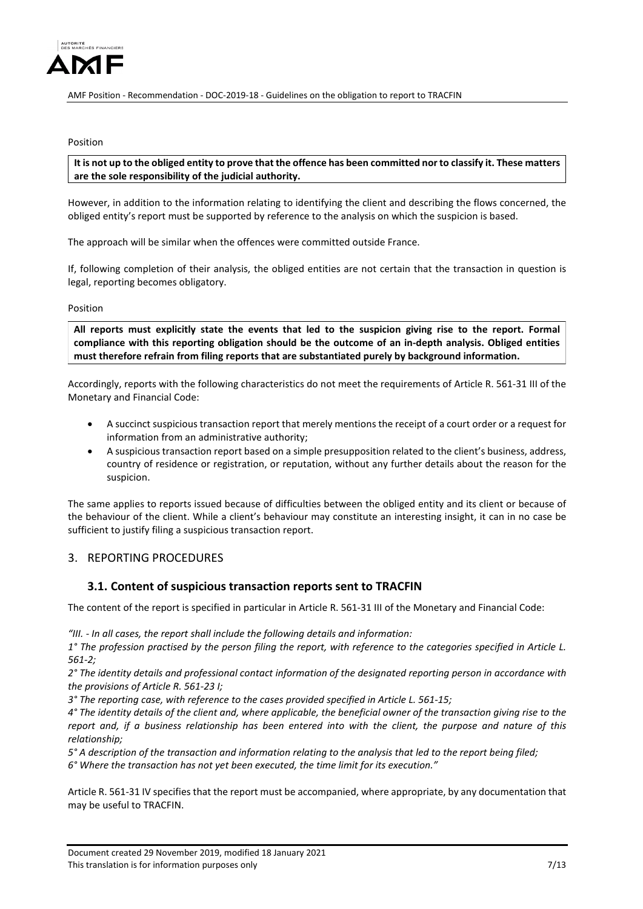

#### Position

**It is not up to the obliged entity to prove that the offence has been committed nor to classify it. These matters are the sole responsibility of the judicial authority.**

However, in addition to the information relating to identifying the client and describing the flows concerned, the obliged entity's report must be supported by reference to the analysis on which the suspicion is based.

The approach will be similar when the offences were committed outside France.

If, following completion of their analysis, the obliged entities are not certain that the transaction in question is legal, reporting becomes obligatory.

#### Position

**All reports must explicitly state the events that led to the suspicion giving rise to the report. Formal compliance with this reporting obligation should be the outcome of an in-depth analysis. Obliged entities must therefore refrain from filing reports that are substantiated purely by background information.**

Accordingly, reports with the following characteristics do not meet the requirements of Article R. 561-31 III of the Monetary and Financial Code:

- A succinct suspicious transaction report that merely mentions the receipt of a court order or a request for information from an administrative authority;
- A suspicious transaction report based on a simple presupposition related to the client's business, address, country of residence or registration, or reputation, without any further details about the reason for the suspicion.

The same applies to reports issued because of difficulties between the obliged entity and its client or because of the behaviour of the client. While a client's behaviour may constitute an interesting insight, it can in no case be sufficient to justify filing a suspicious transaction report.

## 3. REPORTING PROCEDURES

### **3.1. Content of suspicious transaction reports sent to TRACFIN**

The content of the report is specified in particular in Article R. 561-31 III of the Monetary and Financial Code:

*"III. - In all cases, the report shall include the following details and information:* 

*1° The profession practised by the person filing the report, with reference to the categories specified in Article L. 561-2;* 

*2° The identity details and professional contact information of the designated reporting person in accordance with the provisions of Article R. 561-23 I;* 

*3° The reporting case, with reference to the cases provided specified in Article L. 561-15;* 

*4° The identity details of the client and, where applicable, the beneficial owner of the transaction giving rise to the report and, if a business relationship has been entered into with the client, the purpose and nature of this relationship;* 

*5° A description of the transaction and information relating to the analysis that led to the report being filed; 6° Where the transaction has not yet been executed, the time limit for its execution."* 

Article R. 561-31 IV specifies that the report must be accompanied, where appropriate, by any documentation that may be useful to TRACFIN.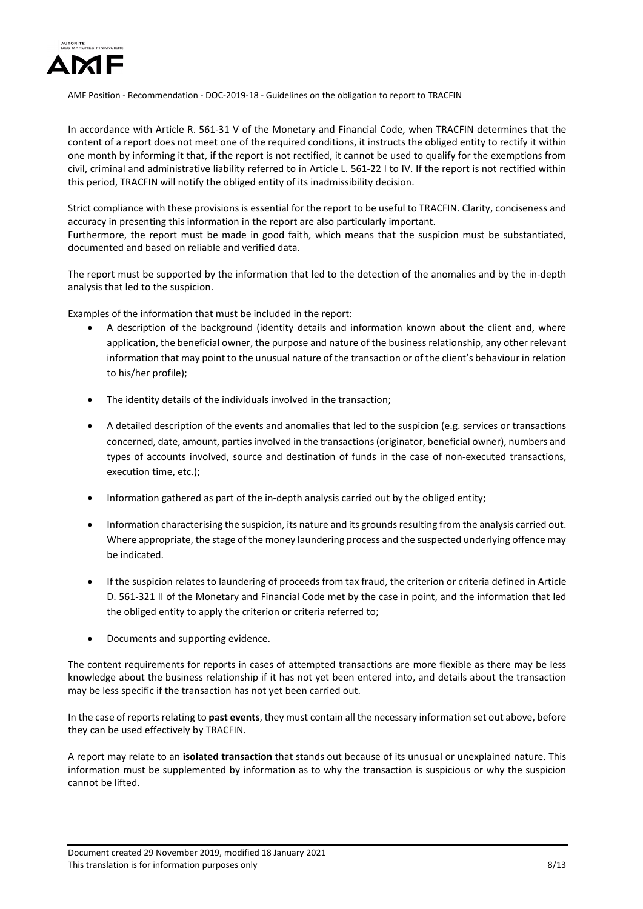

In accordance with Article R. 561-31 V of the Monetary and Financial Code, when TRACFIN determines that the content of a report does not meet one of the required conditions, it instructs the obliged entity to rectify it within one month by informing it that, if the report is not rectified, it cannot be used to qualify for the exemptions from civil, criminal and administrative liability referred to in Article L. 561-22 I to IV. If the report is not rectified within this period, TRACFIN will notify the obliged entity of its inadmissibility decision.

Strict compliance with these provisions is essential for the report to be useful to TRACFIN. Clarity, conciseness and accuracy in presenting this information in the report are also particularly important. Furthermore, the report must be made in good faith, which means that the suspicion must be substantiated, documented and based on reliable and verified data.

The report must be supported by the information that led to the detection of the anomalies and by the in-depth analysis that led to the suspicion.

Examples of the information that must be included in the report:

- A description of the background (identity details and information known about the client and, where application, the beneficial owner, the purpose and nature of the business relationship, any other relevant information that may point to the unusual nature of the transaction or of the client's behaviour in relation to his/her profile);
- The identity details of the individuals involved in the transaction;
- A detailed description of the events and anomalies that led to the suspicion (e.g. services or transactions concerned, date, amount, parties involved in the transactions(originator, beneficial owner), numbers and types of accounts involved, source and destination of funds in the case of non-executed transactions, execution time, etc.);
- Information gathered as part of the in-depth analysis carried out by the obliged entity;
- Information characterising the suspicion, its nature and its grounds resulting from the analysis carried out. Where appropriate, the stage of the money laundering process and the suspected underlying offence may be indicated.
- If the suspicion relates to laundering of proceeds from tax fraud, the criterion or criteria defined in Article D. 561-321 II of the Monetary and Financial Code met by the case in point, and the information that led the obliged entity to apply the criterion or criteria referred to;
- Documents and supporting evidence.

The content requirements for reports in cases of attempted transactions are more flexible as there may be less knowledge about the business relationship if it has not yet been entered into, and details about the transaction may be less specific if the transaction has not yet been carried out.

In the case of reports relating to **past events**, they must contain all the necessary information set out above, before they can be used effectively by TRACFIN.

A report may relate to an **isolated transaction** that stands out because of its unusual or unexplained nature. This information must be supplemented by information as to why the transaction is suspicious or why the suspicion cannot be lifted.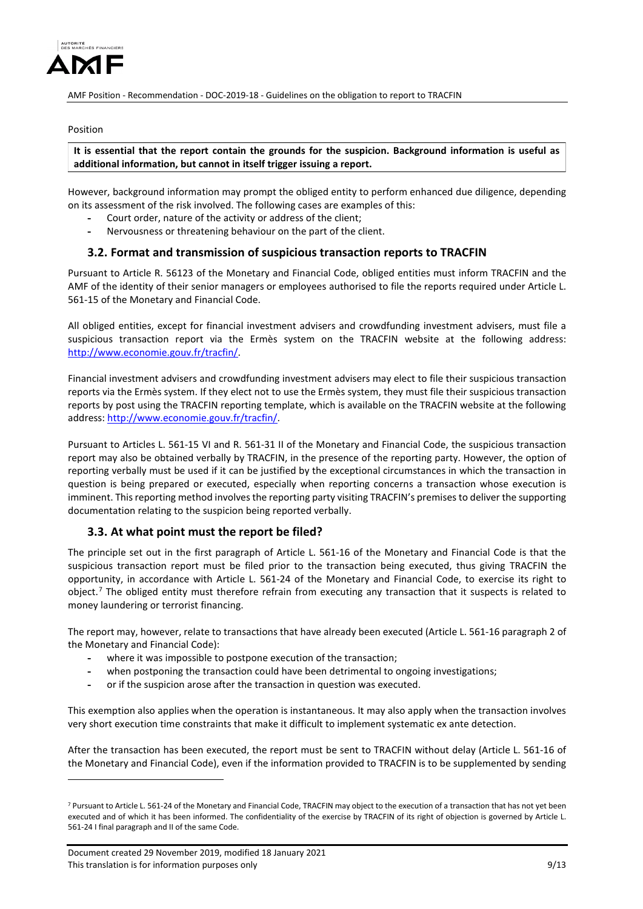

#### Position

**It is essential that the report contain the grounds for the suspicion. Background information is useful as additional information, but cannot in itself trigger issuing a report.**

However, background information may prompt the obliged entity to perform enhanced due diligence, depending on its assessment of the risk involved. The following cases are examples of this:

- **-** Court order, nature of the activity or address of the client;
- **-** Nervousness or threatening behaviour on the part of the client.

### **3.2. Format and transmission of suspicious transaction reports to TRACFIN**

Pursuant to Article R. 56123 of the Monetary and Financial Code, obliged entities must inform TRACFIN and the AMF of the identity of their senior managers or employees authorised to file the reports required under Article L. 561-15 of the Monetary and Financial Code.

All obliged entities, except for financial investment advisers and crowdfunding investment advisers, must file a suspicious transaction report via the Ermès system on the TRACFIN website at the following address: [http://www.economie.gouv.fr/tracfin/.](http://www.economie.gouv.fr/tracfin/)

Financial investment advisers and crowdfunding investment advisers may elect to file their suspicious transaction reports via the Ermès system. If they elect not to use the Ermès system, they must file their suspicious transaction reports by post using the TRACFIN reporting template, which is available on the TRACFIN website at the following address[: http://www.economie.gouv.fr/tracfin/.](http://www.economie.gouv.fr/tracfin/)

Pursuant to Articles L. 561-15 VI and R. 561-31 II of the Monetary and Financial Code, the suspicious transaction report may also be obtained verbally by TRACFIN, in the presence of the reporting party. However, the option of reporting verbally must be used if it can be justified by the exceptional circumstances in which the transaction in question is being prepared or executed, especially when reporting concerns a transaction whose execution is imminent. This reporting method involves the reporting party visiting TRACFIN's premises to deliver the supporting documentation relating to the suspicion being reported verbally.

### **3.3. At what point must the report be filed?**

The principle set out in the first paragraph of Article L. 561-16 of the Monetary and Financial Code is that the suspicious transaction report must be filed prior to the transaction being executed, thus giving TRACFIN the opportunity, in accordance with Article L. 561-24 of the Monetary and Financial Code, to exercise its right to object.<sup>[7](#page-8-0)</sup> The obliged entity must therefore refrain from executing any transaction that it suspects is related to money laundering or terrorist financing.

The report may, however, relate to transactions that have already been executed (Article L. 561-16 paragraph 2 of the Monetary and Financial Code):

- **-** where it was impossible to postpone execution of the transaction;
- **-** when postponing the transaction could have been detrimental to ongoing investigations;
- **-** or if the suspicion arose after the transaction in question was executed.

This exemption also applies when the operation is instantaneous. It may also apply when the transaction involves very short execution time constraints that make it difficult to implement systematic ex ante detection.

After the transaction has been executed, the report must be sent to TRACFIN without delay (Article L. 561-16 of the Monetary and Financial Code), even if the information provided to TRACFIN is to be supplemented by sending

<u>.</u>

<span id="page-8-0"></span><sup>&</sup>lt;sup>7</sup> Pursuant to Article L. 561-24 of the Monetary and Financial Code, TRACFIN may object to the execution of a transaction that has not yet been executed and of which it has been informed. The confidentiality of the exercise by TRACFIN of its right of objection is governed by Article L. 561-24 I final paragraph and II of the same Code.

Document created 29 November 2019, modified 18 January 2021 This translation is for information purposes only **120 and 200 and 200 and 200 and 200 and 200 and 200 and 200 and 200 and 200 and 200 and 200 and 200 and 200 and 200 and 200 and 200 and 200 and 200 and 200 and 200 and 200**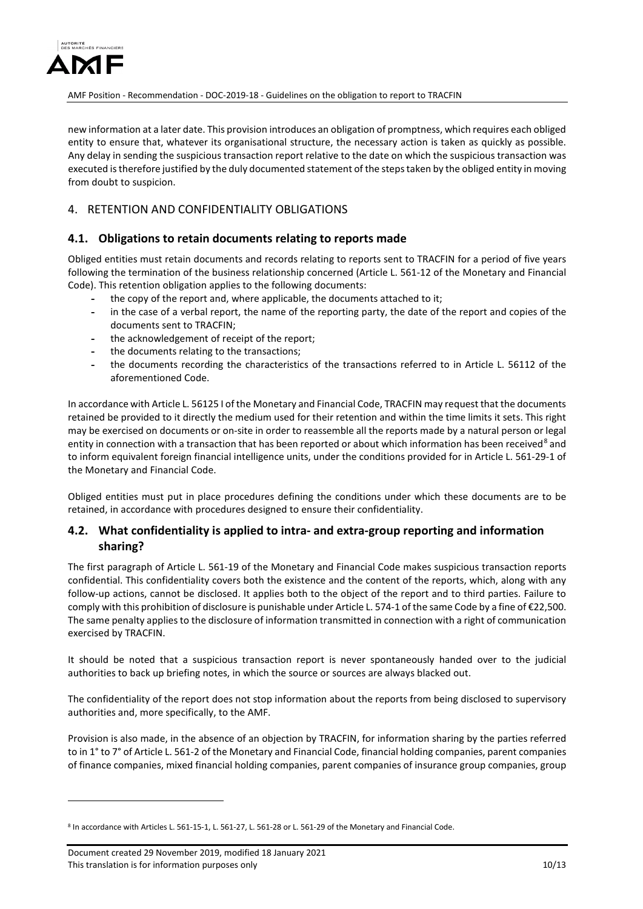

new information at a later date. This provision introduces an obligation of promptness, which requires each obliged entity to ensure that, whatever its organisational structure, the necessary action is taken as quickly as possible. Any delay in sending the suspicious transaction report relative to the date on which the suspicious transaction was executed is therefore justified by the duly documented statement of the steps taken by the obliged entity in moving from doubt to suspicion.

## 4. RETENTION AND CONFIDENTIALITY OBLIGATIONS

### **4.1. Obligations to retain documents relating to reports made**

Obliged entities must retain documents and records relating to reports sent to TRACFIN for a period of five years following the termination of the business relationship concerned (Article L. 561-12 of the Monetary and Financial Code). This retention obligation applies to the following documents:

- **-** the copy of the report and, where applicable, the documents attached to it;
- **-** in the case of a verbal report, the name of the reporting party, the date of the report and copies of the documents sent to TRACFIN;
- **-** the acknowledgement of receipt of the report;
- **-** the documents relating to the transactions;
- **-** the documents recording the characteristics of the transactions referred to in Article L. 56112 of the aforementioned Code.

In accordance with Article L. 56125 I of the Monetary and Financial Code, TRACFIN may request that the documents retained be provided to it directly the medium used for their retention and within the time limits it sets. This right may be exercised on documents or on-site in order to reassemble all the reports made by a natural person or legal entity in connection with a transaction that has been reported or about which information has been received<sup>[8](#page-9-0)</sup> and to inform equivalent foreign financial intelligence units, under the conditions provided for in Article L. 561-29-1 of the Monetary and Financial Code.

Obliged entities must put in place procedures defining the conditions under which these documents are to be retained, in accordance with procedures designed to ensure their confidentiality.

## **4.2. What confidentiality is applied to intra- and extra-group reporting and information sharing?**

The first paragraph of Article L. 561-19 of the Monetary and Financial Code makes suspicious transaction reports confidential. This confidentiality covers both the existence and the content of the reports, which, along with any follow-up actions, cannot be disclosed. It applies both to the object of the report and to third parties. Failure to comply with this prohibition of disclosure is punishable under Article L. 574-1 of the same Code by a fine of €22,500. The same penalty applies to the disclosure of information transmitted in connection with a right of communication exercised by TRACFIN.

It should be noted that a suspicious transaction report is never spontaneously handed over to the judicial authorities to back up briefing notes, in which the source or sources are always blacked out.

The confidentiality of the report does not stop information about the reports from being disclosed to supervisory authorities and, more specifically, to the AMF.

Provision is also made, in the absence of an objection by TRACFIN, for information sharing by the parties referred to in 1° to 7° of Article L. 561-2 of the Monetary and Financial Code, financial holding companies, parent companies of finance companies, mixed financial holding companies, parent companies of insurance group companies, group

<u>.</u>

<span id="page-9-0"></span><sup>&</sup>lt;sup>8</sup> In accordance with Articles L. 561-15-1, L. 561-27, L. 561-28 or L. 561-29 of the Monetary and Financial Code.

Document created 29 November 2019, modified 18 January 2021 This translation is for information purposes only 10 and 10 and 10 and 10 and 10 and 10 and 10 and 10 and 10 and 10 and 10 and 10 and 10 and 10 and 10 and 10 and 10 and 10 and 10 and 10 and 10 and 10 and 10 and 10 and 10 a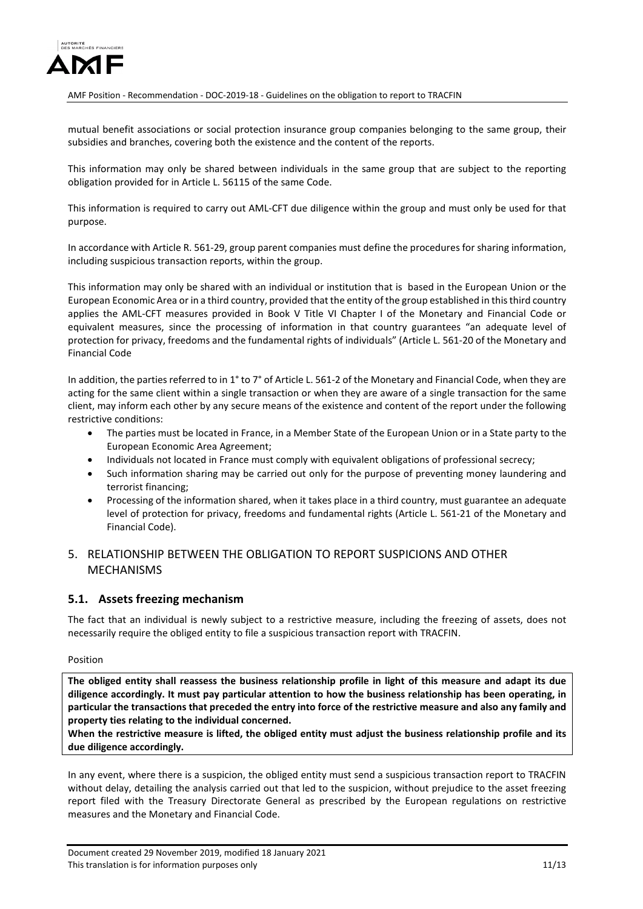

mutual benefit associations or social protection insurance group companies belonging to the same group, their subsidies and branches, covering both the existence and the content of the reports.

This information may only be shared between individuals in the same group that are subject to the reporting obligation provided for in Article L. 56115 of the same Code.

This information is required to carry out AML-CFT due diligence within the group and must only be used for that purpose.

In accordance with Article R. 561-29, group parent companies must define the procedures for sharing information, including suspicious transaction reports, within the group.

This information may only be shared with an individual or institution that is based in the European Union or the European Economic Area or in a third country, provided that the entity of the group established in this third country applies the AML-CFT measures provided in Book V Title VI Chapter I of the Monetary and Financial Code or equivalent measures, since the processing of information in that country guarantees "an adequate level of protection for privacy, freedoms and the fundamental rights of individuals" (Article L. 561-20 of the Monetary and Financial Code

In addition, the parties referred to in 1 $\degree$  to 7 $\degree$  of Article L. 561-2 of the Monetary and Financial Code, when they are acting for the same client within a single transaction or when they are aware of a single transaction for the same client, may inform each other by any secure means of the existence and content of the report under the following restrictive conditions:

- The parties must be located in France, in a Member State of the European Union or in a State party to the European Economic Area Agreement;
- Individuals not located in France must comply with equivalent obligations of professional secrecy;
- Such information sharing may be carried out only for the purpose of preventing money laundering and terrorist financing;
- Processing of the information shared, when it takes place in a third country, must guarantee an adequate level of protection for privacy, freedoms and fundamental rights (Article L. 561-21 of the Monetary and Financial Code).

## 5. RELATIONSHIP BETWEEN THE OBLIGATION TO REPORT SUSPICIONS AND OTHER MECHANISMS

## **5.1. Assets freezing mechanism**

The fact that an individual is newly subject to a restrictive measure, including the freezing of assets, does not necessarily require the obliged entity to file a suspicious transaction report with TRACFIN.

#### Position

**The obliged entity shall reassess the business relationship profile in light of this measure and adapt its due diligence accordingly. It must pay particular attention to how the business relationship has been operating, in particular the transactions that preceded the entry into force of the restrictive measure and also any family and property ties relating to the individual concerned.**

**When the restrictive measure is lifted, the obliged entity must adjust the business relationship profile and its due diligence accordingly.**

In any event, where there is a suspicion, the obliged entity must send a suspicious transaction report to TRACFIN without delay, detailing the analysis carried out that led to the suspicion, without prejudice to the asset freezing report filed with the Treasury Directorate General as prescribed by the European regulations on restrictive measures and the Monetary and Financial Code.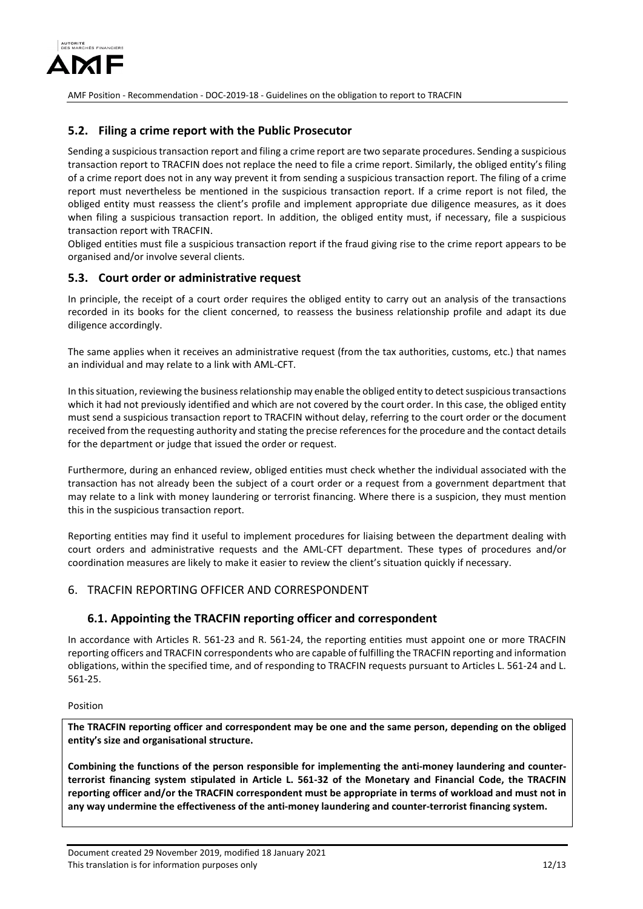

### **5.2. Filing a crime report with the Public Prosecutor**

Sending a suspicious transaction report and filing a crime report are two separate procedures. Sending a suspicious transaction report to TRACFIN does not replace the need to file a crime report. Similarly, the obliged entity's filing of a crime report does not in any way prevent it from sending a suspicious transaction report. The filing of a crime report must nevertheless be mentioned in the suspicious transaction report. If a crime report is not filed, the obliged entity must reassess the client's profile and implement appropriate due diligence measures, as it does when filing a suspicious transaction report. In addition, the obliged entity must, if necessary, file a suspicious transaction report with TRACFIN.

Obliged entities must file a suspicious transaction report if the fraud giving rise to the crime report appears to be organised and/or involve several clients.

### **5.3. Court order or administrative request**

In principle, the receipt of a court order requires the obliged entity to carry out an analysis of the transactions recorded in its books for the client concerned, to reassess the business relationship profile and adapt its due diligence accordingly.

The same applies when it receives an administrative request (from the tax authorities, customs, etc.) that names an individual and may relate to a link with AML-CFT.

In this situation, reviewing the business relationship may enable the obliged entity to detect suspicious transactions which it had not previously identified and which are not covered by the court order. In this case, the obliged entity must send a suspicious transaction report to TRACFIN without delay, referring to the court order or the document received from the requesting authority and stating the precise references for the procedure and the contact details for the department or judge that issued the order or request.

Furthermore, during an enhanced review, obliged entities must check whether the individual associated with the transaction has not already been the subject of a court order or a request from a government department that may relate to a link with money laundering or terrorist financing. Where there is a suspicion, they must mention this in the suspicious transaction report.

Reporting entities may find it useful to implement procedures for liaising between the department dealing with court orders and administrative requests and the AML-CFT department. These types of procedures and/or coordination measures are likely to make it easier to review the client's situation quickly if necessary.

### 6. TRACFIN REPORTING OFFICER AND CORRESPONDENT

### **6.1. Appointing the TRACFIN reporting officer and correspondent**

In accordance with Articles R. 561-23 and R. 561-24, the reporting entities must appoint one or more TRACFIN reporting officers and TRACFIN correspondents who are capable of fulfilling the TRACFIN reporting and information obligations, within the specified time, and of responding to TRACFIN requests pursuant to Articles L. 561-24 and L. 561-25.

#### Position

**The TRACFIN reporting officer and correspondent may be one and the same person, depending on the obliged entity's size and organisational structure.**

**Combining the functions of the person responsible for implementing the anti-money laundering and counterterrorist financing system stipulated in Article L. 561-32 of the Monetary and Financial Code, the TRACFIN reporting officer and/or the TRACFIN correspondent must be appropriate in terms of workload and must not in any way undermine the effectiveness of the anti-money laundering and counter-terrorist financing system.**